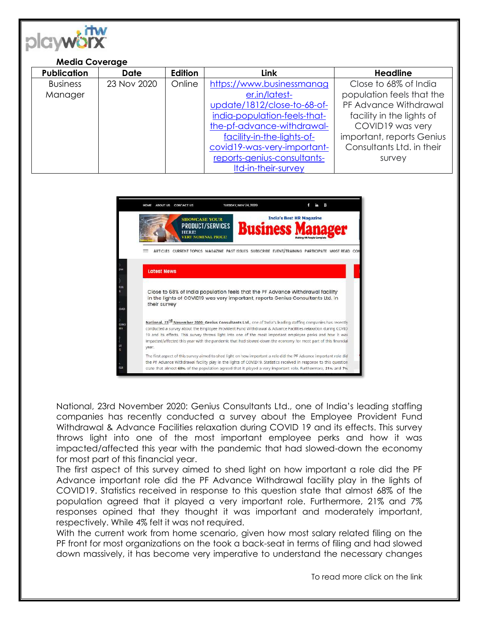

## **Media Coverage**

| <b>Publication</b> | <b>Date</b> | Edition | <b>Link</b>                  | <b>Headline</b>           |
|--------------------|-------------|---------|------------------------------|---------------------------|
| <b>Business</b>    | 23 Nov 2020 | Online  | https://www.businessmanag    | Close to 68% of India     |
| Manager            |             |         | er.in/latest-                | population feels that the |
|                    |             |         | update/1812/close-to-68-of-  | PF Advance Withdrawal     |
|                    |             |         | india-population-feels-that- | facility in the lights of |
|                    |             |         | the-pf-advance-withdrawal-   | COVID19 was very          |
|                    |             |         | facility-in-the-lights-of-   | important, reports Genius |
|                    |             |         | covid19-was-very-important-  | Consultants Ltd. in their |
|                    |             |         | reports-genius-consultants-  | survey                    |
|                    |             |         | Itd-in-their-survey          |                           |



National, 23rd November 2020: Genius Consultants Ltd., one of India's leading staffing companies has recently conducted a survey about the Employee Provident Fund Withdrawal & Advance Facilities relaxation during COVID 19 and its effects. This survey throws light into one of the most important employee perks and how it was impacted/affected this year with the pandemic that had slowed-down the economy for most part of this financial year.

The first aspect of this survey aimed to shed light on how important a role did the PF Advance important role did the PF Advance Withdrawal facility play in the lights of COVID19. Statistics received in response to this question state that almost 68% of the population agreed that it played a very important role. Furthermore, 21% and 7% responses opined that they thought it was important and moderately important, respectively. While 4% felt it was not required.

With the current work from home scenario, given how most salary related filing on the PF front for most organizations on the took a back-seat in terms of filing and had slowed down massively, it has become very imperative to understand the necessary changes

To read more click on the link